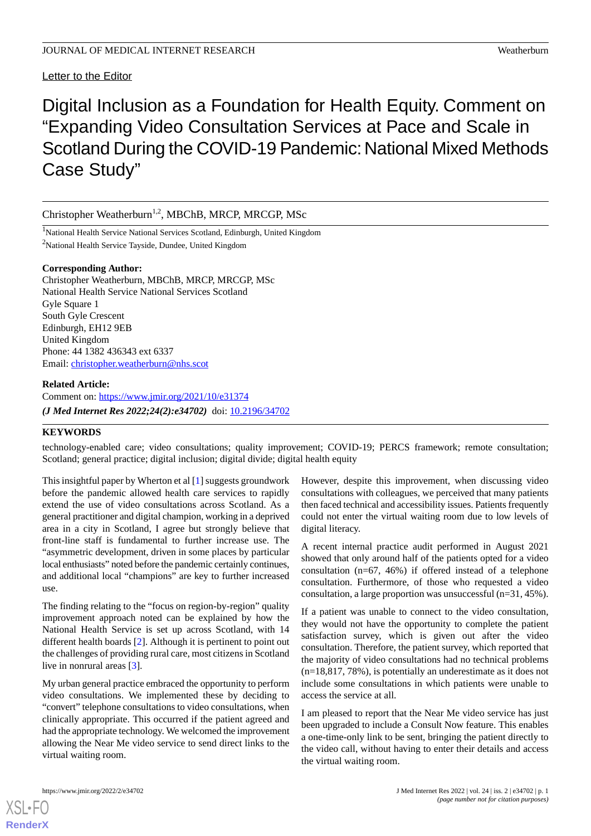Letter to the Editor

# Digital Inclusion as a Foundation for Health Equity. Comment on "Expanding Video Consultation Services at Pace and Scale in Scotland During the COVID-19 Pandemic: National Mixed Methods Case Study"

Christopher Weatherburn<sup>1,2</sup>, MBChB, MRCP, MRCGP, MSc

<sup>1</sup>National Health Service National Services Scotland, Edinburgh, United Kingdom <sup>2</sup>National Health Service Tayside, Dundee, United Kingdom

### **Corresponding Author:**

Christopher Weatherburn, MBChB, MRCP, MRCGP, MSc National Health Service National Services Scotland Gyle Square 1 South Gyle Crescent Edinburgh, EH12 9EB United Kingdom Phone: 44 1382 436343 ext 6337 Email: [christopher.weatherburn@nhs.scot](mailto:christopher.weatherburn@nhs.scot)

## **Related Article:**

Comment on: <https://www.jmir.org/2021/10/e31374> *(J Med Internet Res 2022;24(2):e34702)* doi:  $10.2196/34702$ 

## **KEYWORDS**

technology-enabled care; video consultations; quality improvement; COVID-19; PERCS framework; remote consultation; Scotland; general practice; digital inclusion; digital divide; digital health equity

This insightful paper by Wherton et al [[1\]](#page-1-0) suggests groundwork before the pandemic allowed health care services to rapidly extend the use of video consultations across Scotland. As a general practitioner and digital champion, working in a deprived area in a city in Scotland, I agree but strongly believe that front-line staff is fundamental to further increase use. The "asymmetric development, driven in some places by particular local enthusiasts" noted before the pandemic certainly continues, and additional local "champions" are key to further increased use.

The finding relating to the "focus on region-by-region" quality improvement approach noted can be explained by how the National Health Service is set up across Scotland, with 14 different health boards [\[2](#page-1-1)]. Although it is pertinent to point out the challenges of providing rural care, most citizens in Scotland live in nonrural areas [[3\]](#page-1-2).

My urban general practice embraced the opportunity to perform video consultations. We implemented these by deciding to "convert" telephone consultations to video consultations, when clinically appropriate. This occurred if the patient agreed and had the appropriate technology. We welcomed the improvement allowing the Near Me video service to send direct links to the virtual waiting room.

However, despite this improvement, when discussing video consultations with colleagues, we perceived that many patients then faced technical and accessibility issues. Patients frequently could not enter the virtual waiting room due to low levels of digital literacy.

A recent internal practice audit performed in August 2021 showed that only around half of the patients opted for a video consultation (n=67, 46%) if offered instead of a telephone consultation. Furthermore, of those who requested a video consultation, a large proportion was unsuccessful  $(n=31, 45\%)$ .

If a patient was unable to connect to the video consultation, they would not have the opportunity to complete the patient satisfaction survey, which is given out after the video consultation. Therefore, the patient survey, which reported that the majority of video consultations had no technical problems (n=18,817, 78%), is potentially an underestimate as it does not include some consultations in which patients were unable to access the service at all.

I am pleased to report that the Near Me video service has just been upgraded to include a Consult Now feature. This enables a one-time-only link to be sent, bringing the patient directly to the video call, without having to enter their details and access the virtual waiting room.



[XSL](http://www.w3.org/Style/XSL)•FO **[RenderX](http://www.renderx.com/)**